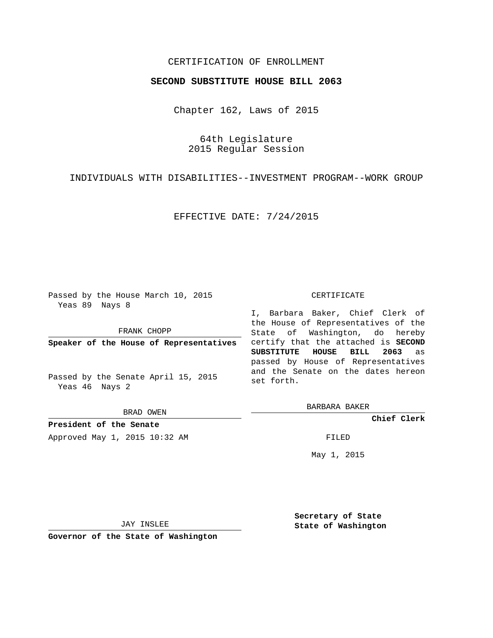## CERTIFICATION OF ENROLLMENT

## **SECOND SUBSTITUTE HOUSE BILL 2063**

Chapter 162, Laws of 2015

64th Legislature 2015 Regular Session

INDIVIDUALS WITH DISABILITIES--INVESTMENT PROGRAM--WORK GROUP

EFFECTIVE DATE: 7/24/2015

Passed by the House March 10, 2015 Yeas 89 Nays 8

FRANK CHOPP

**Speaker of the House of Representatives**

Passed by the Senate April 15, 2015 Yeas 46 Nays 2

BRAD OWEN

**President of the Senate** Approved May 1, 2015 10:32 AM FILED

## CERTIFICATE

I, Barbara Baker, Chief Clerk of the House of Representatives of the State of Washington, do hereby certify that the attached is **SECOND SUBSTITUTE HOUSE BILL 2063** as passed by House of Representatives and the Senate on the dates hereon set forth.

BARBARA BAKER

**Chief Clerk**

May 1, 2015

JAY INSLEE

**Governor of the State of Washington**

**Secretary of State State of Washington**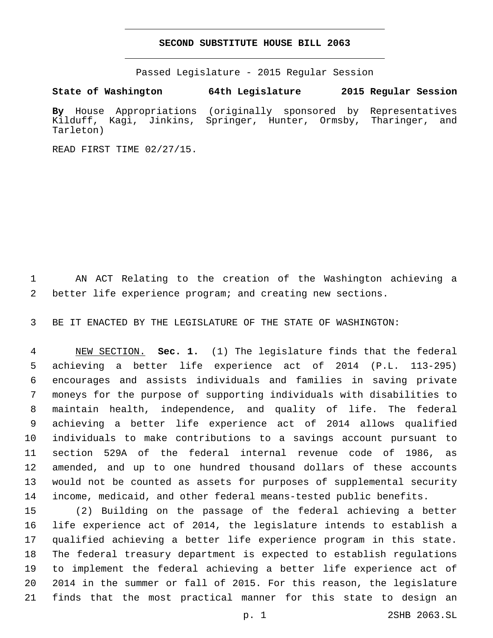## **SECOND SUBSTITUTE HOUSE BILL 2063**

Passed Legislature - 2015 Regular Session

**State of Washington 64th Legislature 2015 Regular Session**

**By** House Appropriations (originally sponsored by Representatives Kilduff, Kagi, Jinkins, Springer, Hunter, Ormsby, Tharinger, and Tarleton)

READ FIRST TIME 02/27/15.

 AN ACT Relating to the creation of the Washington achieving a better life experience program; and creating new sections.

BE IT ENACTED BY THE LEGISLATURE OF THE STATE OF WASHINGTON:

 NEW SECTION. **Sec. 1.** (1) The legislature finds that the federal achieving a better life experience act of 2014 (P.L. 113-295) encourages and assists individuals and families in saving private moneys for the purpose of supporting individuals with disabilities to maintain health, independence, and quality of life. The federal achieving a better life experience act of 2014 allows qualified individuals to make contributions to a savings account pursuant to section 529A of the federal internal revenue code of 1986, as amended, and up to one hundred thousand dollars of these accounts would not be counted as assets for purposes of supplemental security income, medicaid, and other federal means-tested public benefits.

 (2) Building on the passage of the federal achieving a better life experience act of 2014, the legislature intends to establish a qualified achieving a better life experience program in this state. The federal treasury department is expected to establish regulations to implement the federal achieving a better life experience act of 2014 in the summer or fall of 2015. For this reason, the legislature finds that the most practical manner for this state to design an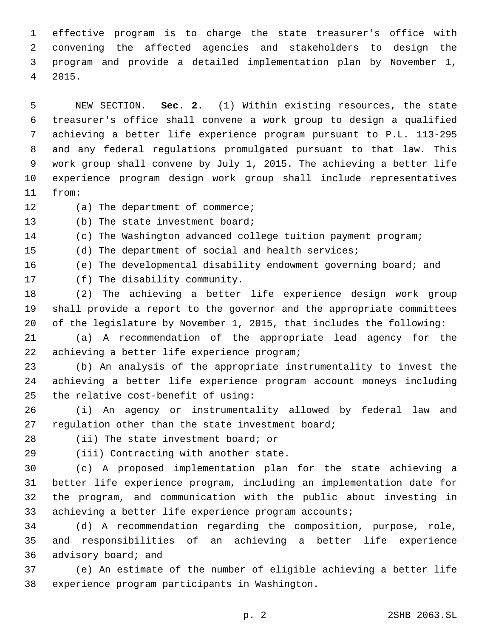effective program is to charge the state treasurer's office with convening the affected agencies and stakeholders to design the program and provide a detailed implementation plan by November 1, 2015.4

 NEW SECTION. **Sec. 2.** (1) Within existing resources, the state treasurer's office shall convene a work group to design a qualified achieving a better life experience program pursuant to P.L. 113-295 and any federal regulations promulgated pursuant to that law. This work group shall convene by July 1, 2015. The achieving a better life experience program design work group shall include representatives from:

12 (a) The department of commerce;

13 (b) The state investment board;

- (c) The Washington advanced college tuition payment program;
- (d) The department of social and health services;

(e) The developmental disability endowment governing board; and

17 (f) The disability community.

 (2) The achieving a better life experience design work group shall provide a report to the governor and the appropriate committees of the legislature by November 1, 2015, that includes the following:

 (a) A recommendation of the appropriate lead agency for the 22 achieving a better life experience program;

 (b) An analysis of the appropriate instrumentality to invest the achieving a better life experience program account moneys including 25 the relative cost-benefit of using:

 (i) An agency or instrumentality allowed by federal law and 27 regulation other than the state investment board;

28 (ii) The state investment board; or

29 (iii) Contracting with another state.

 (c) A proposed implementation plan for the state achieving a better life experience program, including an implementation date for the program, and communication with the public about investing in 33 achieving a better life experience program accounts;

 (d) A recommendation regarding the composition, purpose, role, and responsibilities of an achieving a better life experience 36 advisory board; and

 (e) An estimate of the number of eligible achieving a better life 38 experience program participants in Washington.